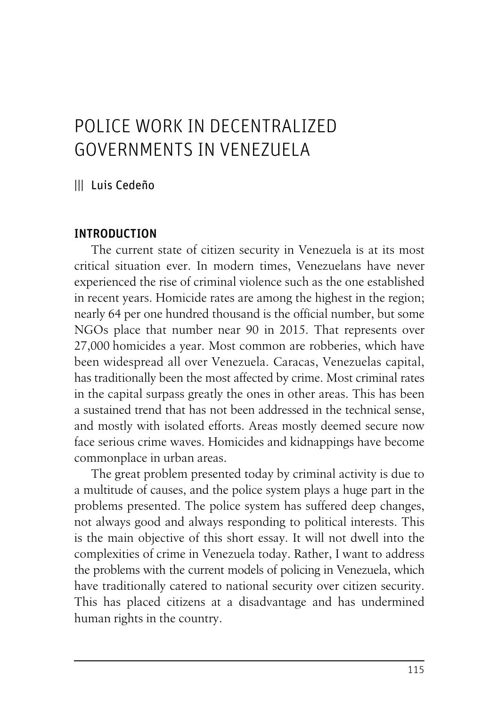# POLICE WORK IN DECENTRALIZED GOVERNMENTS IN VENEZUELA

||| Luis Cedeño

# INTRODUCTION

The current state of citizen security in Venezuela is at its most critical situation ever. In modern times, Venezuelans have never experienced the rise of criminal violence such as the one established in recent years. Homicide rates are among the highest in the region; nearly 64 per one hundred thousand is the official number, but some NGOs place that number near 90 in 2015. That represents over 27,000 homicides a year. Most common are robberies, which have been widespread all over Venezuela. Caracas, Venezuelas capital, has traditionally been the most affected by crime. Most criminal rates in the capital surpass greatly the ones in other areas. This has been a sustained trend that has not been addressed in the technical sense, and mostly with isolated efforts. Areas mostly deemed secure now face serious crime waves. Homicides and kidnappings have become commonplace in urban areas.

The great problem presented today by criminal activity is due to a multitude of causes, and the police system plays a huge part in the problems presented. The police system has suffered deep changes, not always good and always responding to political interests. This is the main objective of this short essay. It will not dwell into the complexities of crime in Venezuela today. Rather, I want to address the problems with the current models of policing in Venezuela, which have traditionally catered to national security over citizen security. This has placed citizens at a disadvantage and has undermined human rights in the country.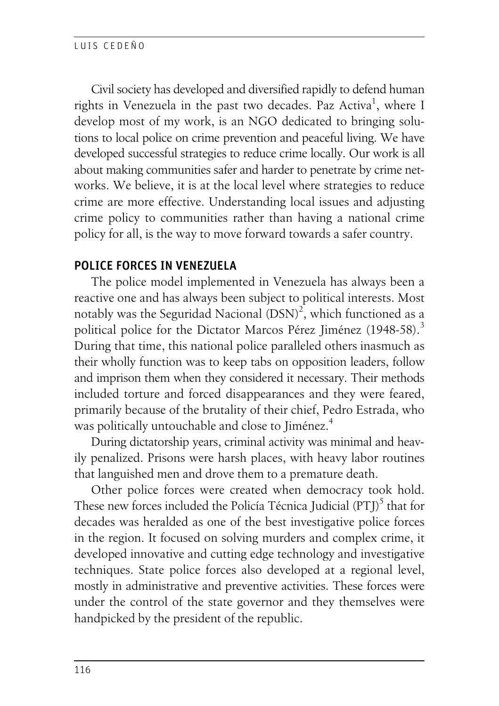Civil society has developed and diversified rapidly to defend human rights in Venezuela in the past two decades. Paz Activa<sup>1</sup>, where I develop most of my work, is an NGO dedicated to bringing solutions to local police on crime prevention and peaceful living. We have developed successful strategies to reduce crime locally. Our work is all about making communities safer and harder to penetrate by crime networks. We believe, it is at the local level where strategies to reduce crime are more effective. Understanding local issues and adjusting crime policy to communities rather than having a national crime policy for all, is the way to move forward towards a safer country.

## POLICE FORCES IN VENEZUELA

The police model implemented in Venezuela has always been a reactive one and has always been subject to political interests. Most notably was the Seguridad Nacional  $(DSN)^2$ , which functioned as a political police for the Dictator Marcos Pérez Jiménez (1948-58).<sup>3</sup> During that time, this national police paralleled others inasmuch as their wholly function was to keep tabs on opposition leaders, follow and imprison them when they considered it necessary. Their methods included torture and forced disappearances and they were feared, primarily because of the brutality of their chief, Pedro Estrada, who was politically untouchable and close to Jiménez.<sup>4</sup>

During dictatorship years, criminal activity was minimal and heavily penalized. Prisons were harsh places, with heavy labor routines that languished men and drove them to a premature death.

Other police forces were created when democracy took hold. These new forces included the Policía Técnica Judicial (PTJ)<sup>5</sup> that for decades was heralded as one of the best investigative police forces in the region. It focused on solving murders and complex crime, it developed innovative and cutting edge technology and investigative techniques. State police forces also developed at a regional level, mostly in administrative and preventive activities. These forces were under the control of the state governor and they themselves were handpicked by the president of the republic.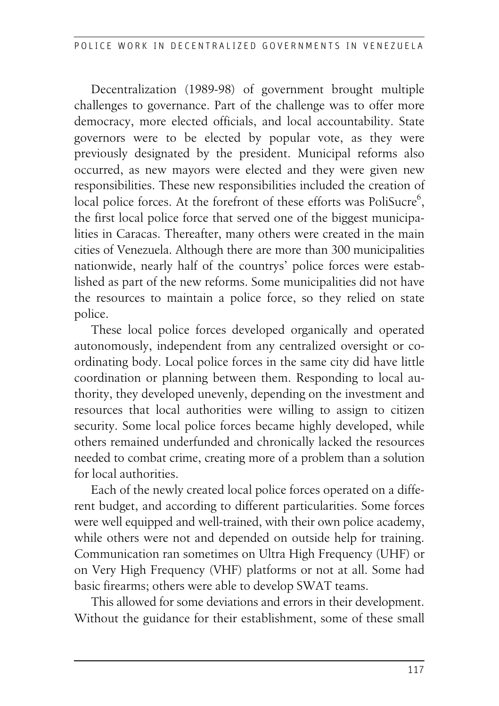Decentralization (1989-98) of government brought multiple challenges to governance. Part of the challenge was to offer more democracy, more elected officials, and local accountability. State governors were to be elected by popular vote, as they were previously designated by the president. Municipal reforms also occurred, as new mayors were elected and they were given new responsibilities. These new responsibilities included the creation of local police forces. At the forefront of these efforts was PoliSucre<sup>6</sup>, the first local police force that served one of the biggest municipalities in Caracas. Thereafter, many others were created in the main cities of Venezuela. Although there are more than 300 municipalities nationwide, nearly half of the countrys' police forces were established as part of the new reforms. Some municipalities did not have the resources to maintain a police force, so they relied on state police.

These local police forces developed organically and operated autonomously, independent from any centralized oversight or coordinating body. Local police forces in the same city did have little coordination or planning between them. Responding to local authority, they developed unevenly, depending on the investment and resources that local authorities were willing to assign to citizen security. Some local police forces became highly developed, while others remained underfunded and chronically lacked the resources needed to combat crime, creating more of a problem than a solution for local authorities.

Each of the newly created local police forces operated on a different budget, and according to different particularities. Some forces were well equipped and well-trained, with their own police academy, while others were not and depended on outside help for training. Communication ran sometimes on Ultra High Frequency (UHF) or on Very High Frequency (VHF) platforms or not at all. Some had basic firearms; others were able to develop SWAT teams.

This allowed for some deviations and errors in their development. Without the guidance for their establishment, some of these small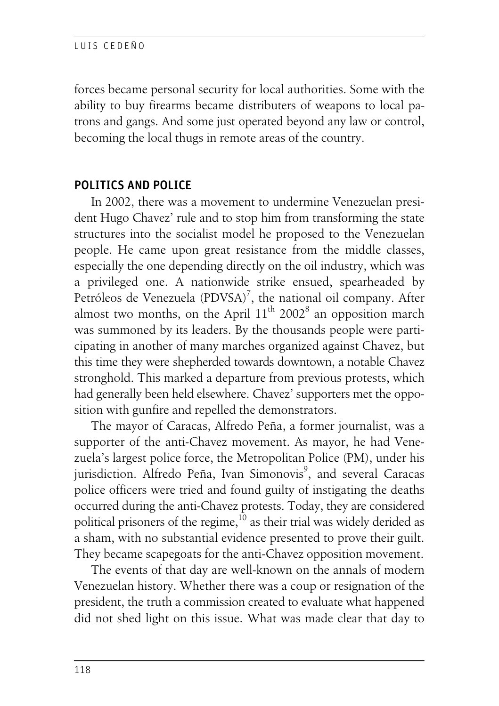forces became personal security for local authorities. Some with the ability to buy firearms became distributers of weapons to local patrons and gangs. And some just operated beyond any law or control, becoming the local thugs in remote areas of the country.

# POLITICS AND POLICE

In 2002, there was a movement to undermine Venezuelan president Hugo Chavez' rule and to stop him from transforming the state structures into the socialist model he proposed to the Venezuelan people. He came upon great resistance from the middle classes, especially the one depending directly on the oil industry, which was a privileged one. A nationwide strike ensued, spearheaded by Petróleos de Venezuela (PDVSA)<sup>7</sup>, the national oil company. After almost two months, on the April  $11<sup>th</sup> 2002<sup>8</sup>$  an opposition march was summoned by its leaders. By the thousands people were participating in another of many marches organized against Chavez, but this time they were shepherded towards downtown, a notable Chavez stronghold. This marked a departure from previous protests, which had generally been held elsewhere. Chavez' supporters met the opposition with gunfire and repelled the demonstrators.

The mayor of Caracas, Alfredo Peña, a former journalist, was a supporter of the anti-Chavez movement. As mayor, he had Venezuela's largest police force, the Metropolitan Police (PM), under his jurisdiction. Alfredo Peña, Ivan Simonovis<sup>9</sup>, and several Caracas police officers were tried and found guilty of instigating the deaths occurred during the anti-Chavez protests. Today, they are considered political prisoners of the regime, $^{10}$  as their trial was widely derided as a sham, with no substantial evidence presented to prove their guilt. They became scapegoats for the anti-Chavez opposition movement.

The events of that day are well-known on the annals of modern Venezuelan history. Whether there was a coup or resignation of the president, the truth a commission created to evaluate what happened did not shed light on this issue. What was made clear that day to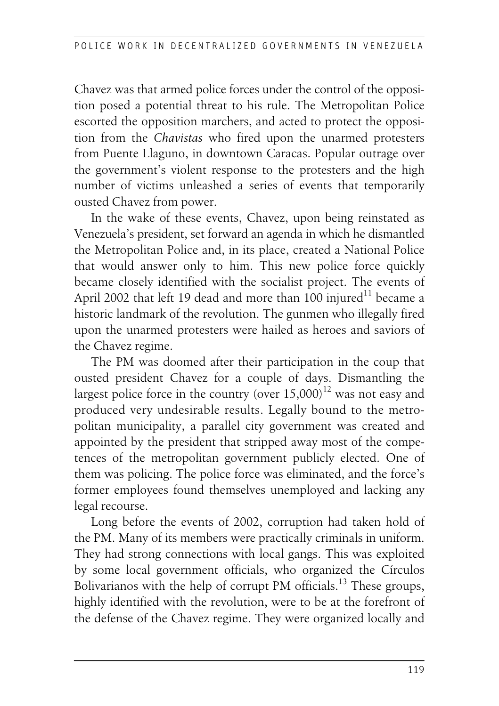Chavez was that armed police forces under the control of the opposition posed a potential threat to his rule. The Metropolitan Police escorted the opposition marchers, and acted to protect the opposition from the *Chavistas* who fired upon the unarmed protesters from Puente Llaguno, in downtown Caracas. Popular outrage over the government's violent response to the protesters and the high number of victims unleashed a series of events that temporarily ousted Chavez from power.

In the wake of these events, Chavez, upon being reinstated as Venezuela's president, set forward an agenda in which he dismantled the Metropolitan Police and, in its place, created a National Police that would answer only to him. This new police force quickly became closely identified with the socialist project. The events of April 2002 that left 19 dead and more than 100 injured<sup>11</sup> became a historic landmark of the revolution. The gunmen who illegally fired upon the unarmed protesters were hailed as heroes and saviors of the Chavez regime.

The PM was doomed after their participation in the coup that ousted president Chavez for a couple of days. Dismantling the largest police force in the country (over  $15,000$ )<sup>12</sup> was not easy and produced very undesirable results. Legally bound to the metropolitan municipality, a parallel city government was created and appointed by the president that stripped away most of the competences of the metropolitan government publicly elected. One of them was policing. The police force was eliminated, and the force's former employees found themselves unemployed and lacking any legal recourse.

Long before the events of 2002, corruption had taken hold of the PM. Many of its members were practically criminals in uniform. They had strong connections with local gangs. This was exploited by some local government officials, who organized the Círculos Bolivarianos with the help of corrupt PM officials.<sup>13</sup> These groups, highly identified with the revolution, were to be at the forefront of the defense of the Chavez regime. They were organized locally and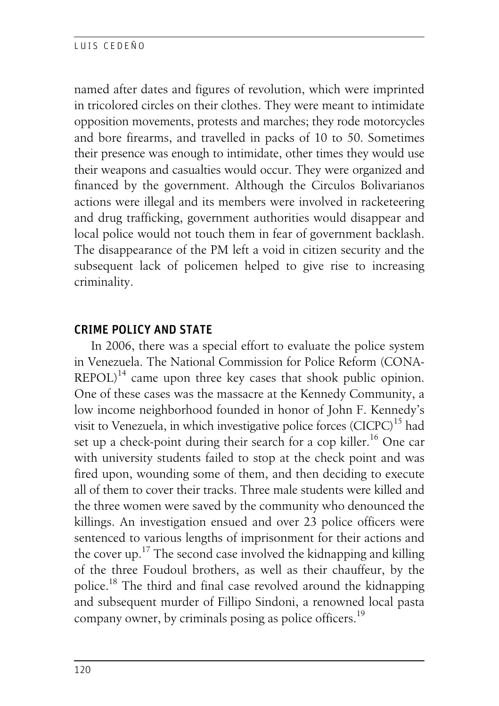named after dates and figures of revolution, which were imprinted in tricolored circles on their clothes. They were meant to intimidate opposition movements, protests and marches; they rode motorcycles and bore firearms, and travelled in packs of 10 to 50. Sometimes their presence was enough to intimidate, other times they would use their weapons and casualties would occur. They were organized and financed by the government. Although the Circulos Bolivarianos actions were illegal and its members were involved in racketeering and drug trafficking, government authorities would disappear and local police would not touch them in fear of government backlash. The disappearance of the PM left a void in citizen security and the subsequent lack of policemen helped to give rise to increasing criminality.

## CRIME POLICY AND STATE

In 2006, there was a special effort to evaluate the police system in Venezuela. The National Commission for Police Reform (CONA- $REPOL)^{14}$  came upon three key cases that shook public opinion. One of these cases was the massacre at the Kennedy Community, a low income neighborhood founded in honor of John F. Kennedy's visit to Venezuela, in which investigative police forces  $(CICPC)^{15}$  had set up a check-point during their search for a cop killer.<sup>16</sup> One car with university students failed to stop at the check point and was fired upon, wounding some of them, and then deciding to execute all of them to cover their tracks. Three male students were killed and the three women were saved by the community who denounced the killings. An investigation ensued and over 23 police officers were sentenced to various lengths of imprisonment for their actions and the cover up.<sup>17</sup> The second case involved the kidnapping and killing of the three Foudoul brothers, as well as their chauffeur, by the police.<sup>18</sup> The third and final case revolved around the kidnapping and subsequent murder of Fillipo Sindoni, a renowned local pasta company owner, by criminals posing as police officers.<sup>19</sup>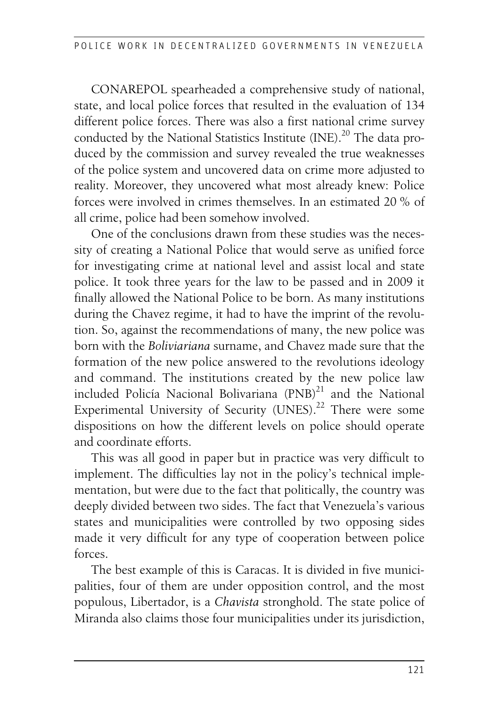CONAREPOL spearheaded a comprehensive study of national, state, and local police forces that resulted in the evaluation of 134 different police forces. There was also a first national crime survey conducted by the National Statistics Institute  $(INE)^{20}$  The data produced by the commission and survey revealed the true weaknesses of the police system and uncovered data on crime more adjusted to reality. Moreover, they uncovered what most already knew: Police forces were involved in crimes themselves. In an estimated 20 % of all crime, police had been somehow involved.

One of the conclusions drawn from these studies was the necessity of creating a National Police that would serve as unified force for investigating crime at national level and assist local and state police. It took three years for the law to be passed and in 2009 it finally allowed the National Police to be born. As many institutions during the Chavez regime, it had to have the imprint of the revolution. So, against the recommendations of many, the new police was born with the *Boliviariana* surname, and Chavez made sure that the formation of the new police answered to the revolutions ideology and command. The institutions created by the new police law included Policía Nacional Bolivariana  $(PNB)^{21}$  and the National Experimental University of Security (UNES).<sup>22</sup> There were some dispositions on how the different levels on police should operate and coordinate efforts.

This was all good in paper but in practice was very difficult to implement. The difficulties lay not in the policy's technical implementation, but were due to the fact that politically, the country was deeply divided between two sides. The fact that Venezuela's various states and municipalities were controlled by two opposing sides made it very difficult for any type of cooperation between police forces.

The best example of this is Caracas. It is divided in five municipalities, four of them are under opposition control, and the most populous, Libertador, is a *Chavista* stronghold. The state police of Miranda also claims those four municipalities under its jurisdiction,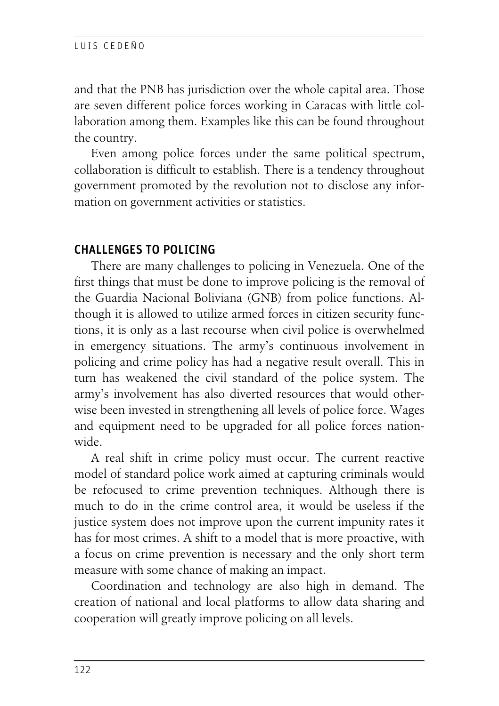and that the PNB has jurisdiction over the whole capital area. Those are seven different police forces working in Caracas with little collaboration among them. Examples like this can be found throughout the country.

Even among police forces under the same political spectrum, collaboration is difficult to establish. There is a tendency throughout government promoted by the revolution not to disclose any information on government activities or statistics.

# CHALLENGES TO POLICING

There are many challenges to policing in Venezuela. One of the first things that must be done to improve policing is the removal of the Guardia Nacional Boliviana (GNB) from police functions. Although it is allowed to utilize armed forces in citizen security functions, it is only as a last recourse when civil police is overwhelmed in emergency situations. The army's continuous involvement in policing and crime policy has had a negative result overall. This in turn has weakened the civil standard of the police system. The army's involvement has also diverted resources that would otherwise been invested in strengthening all levels of police force. Wages and equipment need to be upgraded for all police forces nationwide.

A real shift in crime policy must occur. The current reactive model of standard police work aimed at capturing criminals would be refocused to crime prevention techniques. Although there is much to do in the crime control area, it would be useless if the justice system does not improve upon the current impunity rates it has for most crimes. A shift to a model that is more proactive, with a focus on crime prevention is necessary and the only short term measure with some chance of making an impact.

Coordination and technology are also high in demand. The creation of national and local platforms to allow data sharing and cooperation will greatly improve policing on all levels.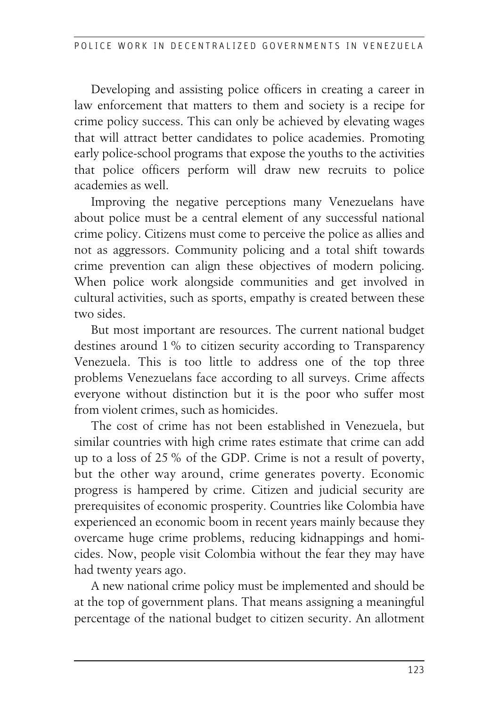Developing and assisting police officers in creating a career in law enforcement that matters to them and society is a recipe for crime policy success. This can only be achieved by elevating wages that will attract better candidates to police academies. Promoting early police-school programs that expose the youths to the activities that police officers perform will draw new recruits to police academies as well.

Improving the negative perceptions many Venezuelans have about police must be a central element of any successful national crime policy. Citizens must come to perceive the police as allies and not as aggressors. Community policing and a total shift towards crime prevention can align these objectives of modern policing. When police work alongside communities and get involved in cultural activities, such as sports, empathy is created between these two sides.

But most important are resources. The current national budget destines around 1 % to citizen security according to Transparency Venezuela. This is too little to address one of the top three problems Venezuelans face according to all surveys. Crime affects everyone without distinction but it is the poor who suffer most from violent crimes, such as homicides.

The cost of crime has not been established in Venezuela, but similar countries with high crime rates estimate that crime can add up to a loss of 25 % of the GDP. Crime is not a result of poverty, but the other way around, crime generates poverty. Economic progress is hampered by crime. Citizen and judicial security are prerequisites of economic prosperity. Countries like Colombia have experienced an economic boom in recent years mainly because they overcame huge crime problems, reducing kidnappings and homicides. Now, people visit Colombia without the fear they may have had twenty years ago.

A new national crime policy must be implemented and should be at the top of government plans. That means assigning a meaningful percentage of the national budget to citizen security. An allotment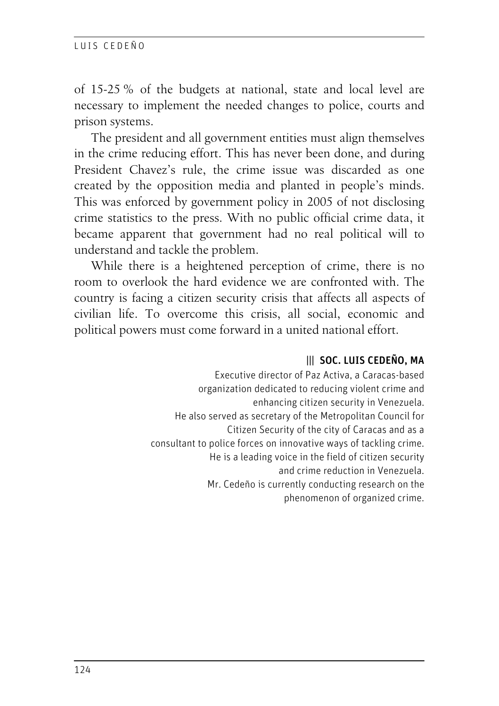of 15-25 % of the budgets at national, state and local level are necessary to implement the needed changes to police, courts and prison systems.

The president and all government entities must align themselves in the crime reducing effort. This has never been done, and during President Chavez's rule, the crime issue was discarded as one created by the opposition media and planted in people's minds. This was enforced by government policy in 2005 of not disclosing crime statistics to the press. With no public official crime data, it became apparent that government had no real political will to understand and tackle the problem.

While there is a heightened perception of crime, there is no room to overlook the hard evidence we are confronted with. The country is facing a citizen security crisis that affects all aspects of civilian life. To overcome this crisis, all social, economic and political powers must come forward in a united national effort.

### ||| SOC. LUIS CEDEÑO, MA

Executive director of Paz Activa, a Caracas-based organization dedicated to reducing violent crime and enhancing citizen security in Venezuela. He also served as secretary of the Metropolitan Council for Citizen Security of the city of Caracas and as a consultant to police forces on innovative ways of tackling crime. He is a leading voice in the field of citizen security and crime reduction in Venezuela. Mr. Cedeño is currently conducting research on the phenomenon of organized crime.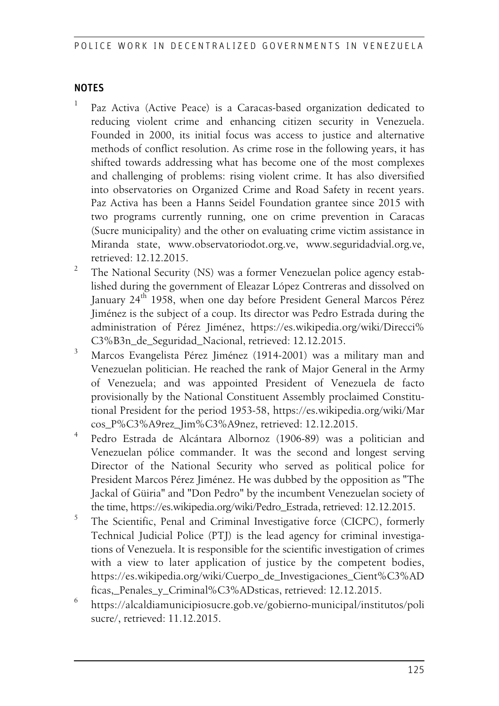#### NOTES

- 1 Paz Activa (Active Peace) is a Caracas-based organization dedicated to reducing violent crime and enhancing citizen security in Venezuela. Founded in 2000, its initial focus was access to justice and alternative methods of conflict resolution. As crime rose in the following years, it has shifted towards addressing what has become one of the most complexes and challenging of problems: rising violent crime. It has also diversified into observatories on Organized Crime and Road Safety in recent years. Paz Activa has been a Hanns Seidel Foundation grantee since 2015 with two programs currently running, one on crime prevention in Caracas (Sucre municipality) and the other on evaluating crime victim assistance in Miranda state, www.observatoriodot.org.ve, www.seguridadvial.org.ve, retrieved: 12.12.2015.
- 2 The National Security (NS) was a former Venezuelan police agency established during the government of Eleazar López Contreras and dissolved on January 24<sup>th</sup> 1958, when one day before President General Marcos Pérez Jiménez is the subject of a coup. Its director was Pedro Estrada during the administration of Pérez Jiménez, https://es.wikipedia.org/wiki/Direcci% C3%B3n\_de\_Seguridad\_Nacional, retrieved: 12.12.2015.
- 3 Marcos Evangelista Pérez Jiménez (1914-2001) was a military man and Venezuelan politician. He reached the rank of Major General in the Army of Venezuela; and was appointed President of Venezuela de facto provisionally by the National Constituent Assembly proclaimed Constitutional President for the period 1953-58, https://es.wikipedia.org/wiki/Mar cos\_P%C3%A9rez\_Jim%C3%A9nez, retrieved: 12.12.2015.
- 4 Pedro Estrada de Alcántara Albornoz (1906-89) was a politician and Venezuelan pólice commander. It was the second and longest serving Director of the National Security who served as political police for President Marcos Pérez Jiménez. He was dubbed by the opposition as "The Jackal of Güiria" and "Don Pedro" by the incumbent Venezuelan society of the time, https://es.wikipedia.org/wiki/Pedro\_Estrada, retrieved: 12.12.2015.
- 5 The Scientific, Penal and Criminal Investigative force (CICPC), formerly Technical Judicial Police (PTJ) is the lead agency for criminal investigations of Venezuela. It is responsible for the scientific investigation of crimes with a view to later application of justice by the competent bodies, https://es.wikipedia.org/wiki/Cuerpo\_de\_Investigaciones\_Cient%C3%AD ficas,\_Penales\_y\_Criminal%C3%ADsticas, retrieved: 12.12.2015.
- 6 https://alcaldiamunicipiosucre.gob.ve/gobierno-municipal/institutos/poli sucre/, retrieved: 11.12.2015.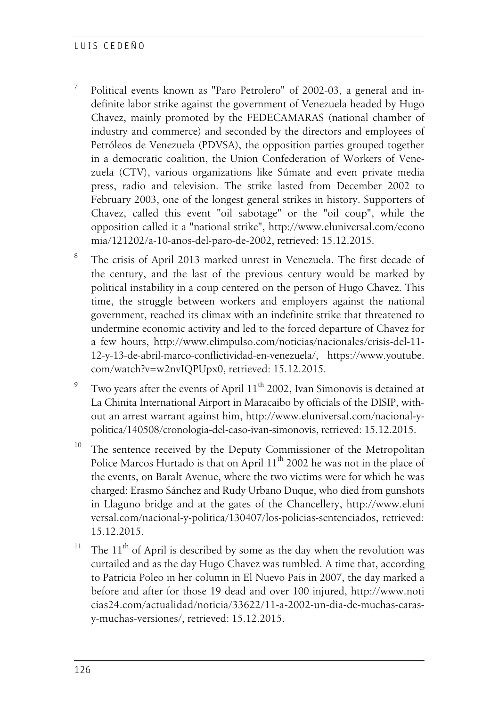#### L ILIS CEDEÑO

- 7 Political events known as "Paro Petrolero" of 2002-03, a general and indefinite labor strike against the government of Venezuela headed by Hugo Chavez, mainly promoted by the FEDECAMARAS (national chamber of industry and commerce) and seconded by the directors and employees of Petróleos de Venezuela (PDVSA), the opposition parties grouped together in a democratic coalition, the Union Confederation of Workers of Venezuela (CTV), various organizations like Súmate and even private media press, radio and television. The strike lasted from December 2002 to February 2003, one of the longest general strikes in history. Supporters of Chavez, called this event "oil sabotage" or the "oil coup", while the opposition called it a "national strike", http://www.eluniversal.com/econo mia/121202/a-10-anos-del-paro-de-2002, retrieved: 15.12.2015.
- 8 The crisis of April 2013 marked unrest in Venezuela. The first decade of the century, and the last of the previous century would be marked by political instability in a coup centered on the person of Hugo Chavez. This time, the struggle between workers and employers against the national government, reached its climax with an indefinite strike that threatened to undermine economic activity and led to the forced departure of Chavez for a few hours, http://www.elimpulso.com/noticias/nacionales/crisis-del-11- 12-y-13-de-abril-marco-conflictividad-en-venezuela/, https://www.youtube. com/watch?v=w2nvIQPUpx0, retrieved: 15.12.2015.
- $\overline{Q}$ Two years after the events of April 11<sup>th</sup> 2002, Ivan Simonovis is detained at La Chinita International Airport in Maracaibo by officials of the DISIP, without an arrest warrant against him, http://www.eluniversal.com/nacional-ypolitica/140508/cronologia-del-caso-ivan-simonovis, retrieved: 15.12.2015.
- <sup>10</sup> The sentence received by the Deputy Commissioner of the Metropolitan Police Marcos Hurtado is that on April  $11<sup>th</sup>$  2002 he was not in the place of the events, on Baralt Avenue, where the two victims were for which he was charged: Erasmo Sánchez and Rudy Urbano Duque, who died from gunshots in Llaguno bridge and at the gates of the Chancellery, http://www.eluni versal.com/nacional-y-politica/130407/los-policias-sentenciados, retrieved: 15.12.2015.
- <sup>11</sup> The  $11<sup>th</sup>$  of April is described by some as the day when the revolution was curtailed and as the day Hugo Chavez was tumbled. A time that, according to Patricia Poleo in her column in El Nuevo País in 2007, the day marked a before and after for those 19 dead and over 100 injured, http://www.noti cias24.com/actualidad/noticia/33622/11-a-2002-un-dia-de-muchas-carasy-muchas-versiones/, retrieved: 15.12.2015.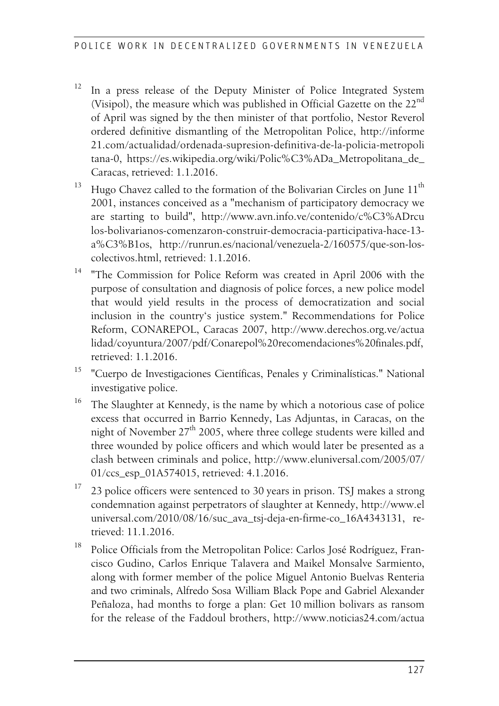- <sup>12</sup> In a press release of the Deputy Minister of Police Integrated System (Visipol), the measure which was published in Official Gazette on the 22<sup>nd</sup> of April was signed by the then minister of that portfolio, Nestor Reverol ordered definitive dismantling of the Metropolitan Police, http://informe 21.com/actualidad/ordenada-supresion-definitiva-de-la-policia-metropoli tana-0, https://es.wikipedia.org/wiki/Polic%C3%ADa\_Metropolitana\_de\_ Caracas, retrieved: 1.1.2016.
- $13$  Hugo Chavez called to the formation of the Bolivarian Circles on June  $11<sup>th</sup>$ 2001, instances conceived as a "mechanism of participatory democracy we are starting to build", http://www.avn.info.ve/contenido/c%C3%ADrcu los-bolivarianos-comenzaron-construir-democracia-participativa-hace-13 a%C3%B1os, http://runrun.es/nacional/venezuela-2/160575/que-son-loscolectivos.html, retrieved: 1.1.2016.
- <sup>14</sup> "The Commission for Police Reform was created in April 2006 with the purpose of consultation and diagnosis of police forces, a new police model that would yield results in the process of democratization and social inclusion in the country's justice system." Recommendations for Police Reform, CONAREPOL, Caracas 2007, http://www.derechos.org.ve/actua lidad/coyuntura/2007/pdf/Conarepol%20recomendaciones%20finales.pdf, retrieved: 1.1.2016.
- <sup>15</sup> "Cuerpo de Investigaciones Científicas, Penales y Criminalísticas." National investigative police.
- <sup>16</sup> The Slaughter at Kennedy, is the name by which a notorious case of police excess that occurred in Barrio Kennedy, Las Adjuntas, in Caracas, on the night of November  $27<sup>th</sup>$  2005, where three college students were killed and three wounded by police officers and which would later be presented as a clash between criminals and police, http://www.eluniversal.com/2005/07/ 01/ccs\_esp\_01A574015, retrieved: 4.1.2016.
- $17$  23 police officers were sentenced to 30 years in prison. TSJ makes a strong condemnation against perpetrators of slaughter at Kennedy, http://www.el universal.com/2010/08/16/suc\_ava\_tsj-deja-en-firme-co\_16A4343131, retrieved: 11.1.2016.
- <sup>18</sup> Police Officials from the Metropolitan Police: Carlos José Rodríguez, Francisco Gudino, Carlos Enrique Talavera and Maikel Monsalve Sarmiento, along with former member of the police Miguel Antonio Buelvas Renteria and two criminals, Alfredo Sosa William Black Pope and Gabriel Alexander Peñaloza, had months to forge a plan: Get 10 million bolivars as ransom for the release of the Faddoul brothers, http://www.noticias24.com/actua